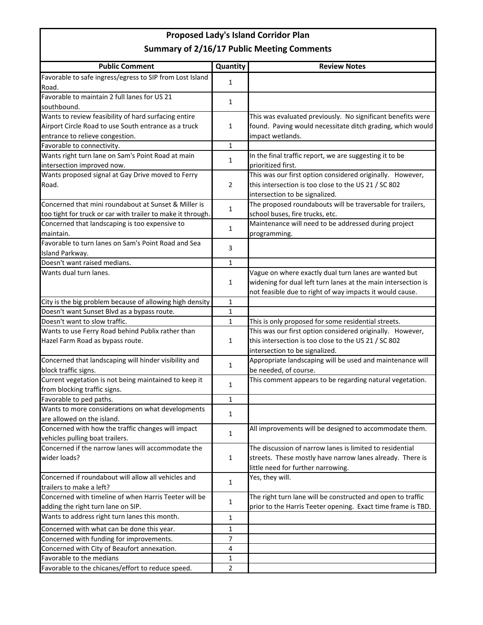## **Proposed Lady's Island Corridor Plan Summary of 2/16/17 Public Meeting Comments**

| <b>Public Comment</b>                                       | Quantity       | <b>Review Notes</b>                                           |
|-------------------------------------------------------------|----------------|---------------------------------------------------------------|
| Favorable to safe ingress/egress to SIP from Lost Island    | 1              |                                                               |
| Road.                                                       |                |                                                               |
| Favorable to maintain 2 full lanes for US 21                | 1              |                                                               |
| southbound.                                                 |                |                                                               |
| Wants to review feasibility of hard surfacing entire        |                | This was evaluated previously. No significant benefits were   |
| Airport Circle Road to use South entrance as a truck        | 1              | found. Paving would necessitate ditch grading, which would    |
| entrance to relieve congestion.                             |                | impact wetlands.                                              |
| Favorable to connectivity.                                  | 1              |                                                               |
| Wants right turn lane on Sam's Point Road at main           | 1              | In the final traffic report, we are suggesting it to be       |
| intersection improved now.                                  |                | prioritized first.                                            |
| Wants proposed signal at Gay Drive moved to Ferry           | $\overline{2}$ | This was our first option considered originally. However,     |
| Road.                                                       |                | this intersection is too close to the US 21 / SC 802          |
|                                                             |                | intersection to be signalized.                                |
| Concerned that mini roundabout at Sunset & Miller is        | 1              | The proposed roundabouts will be traversable for trailers,    |
| too tight for truck or car with trailer to make it through. |                | school buses, fire trucks, etc.                               |
| Concerned that landscaping is too expensive to              | 1              | Maintenance will need to be addressed during project          |
| maintain.                                                   |                | programming.                                                  |
| Favorable to turn lanes on Sam's Point Road and Sea         | 3              |                                                               |
| Island Parkway.                                             |                |                                                               |
| Doesn't want raised medians.                                | $\mathbf{1}$   |                                                               |
| Wants dual turn lanes.                                      |                | Vague on where exactly dual turn lanes are wanted but         |
|                                                             | 1              | widening for dual left turn lanes at the main intersection is |
|                                                             |                | not feasible due to right of way impacts it would cause.      |
| City is the big problem because of allowing high density    | 1              |                                                               |
| Doesn't want Sunset Blvd as a bypass route.                 | 1              |                                                               |
| Doesn't want to slow traffic.                               | 1              | This is only proposed for some residential streets.           |
| Wants to use Ferry Road behind Publix rather than           |                | This was our first option considered originally. However,     |
| Hazel Farm Road as bypass route.                            | 1              | this intersection is too close to the US 21 / SC 802          |
|                                                             |                | intersection to be signalized.                                |
| Concerned that landscaping will hinder visibility and       | 1              | Appropriate landscaping will be used and maintenance will     |
| block traffic signs.                                        |                | be needed, of course.                                         |
| Current vegetation is not being maintained to keep it       | 1              | This comment appears to be regarding natural vegetation.      |
| from blocking traffic signs.                                |                |                                                               |
| Favorable to ped paths.                                     | 1              |                                                               |
| Wants to more considerations on what developments           | 1              |                                                               |
| are allowed on the island.                                  |                |                                                               |
| Concerned with how the traffic changes will impact          | 1              | All improvements will be designed to accommodate them.        |
| vehicles pulling boat trailers.                             |                |                                                               |
| Concerned if the narrow lanes will accommodate the          |                | The discussion of narrow lanes is limited to residential      |
| wider loads?                                                | 1              | streets. These mostly have narrow lanes already. There is     |
|                                                             |                | little need for further narrowing.                            |
| Concerned if roundabout will allow all vehicles and         | 1              | Yes, they will.                                               |
| trailers to make a left?                                    |                |                                                               |
| Concerned with timeline of when Harris Teeter will be       | 1              | The right turn lane will be constructed and open to traffic   |
| adding the right turn lane on SIP.                          |                | prior to the Harris Teeter opening. Exact time frame is TBD.  |
| Wants to address right turn lanes this month.               | 1              |                                                               |
| Concerned with what can be done this year.                  | 1              |                                                               |
| Concerned with funding for improvements.                    | 7              |                                                               |
| Concerned with City of Beaufort annexation.                 | 4              |                                                               |
| Favorable to the medians                                    | 1              |                                                               |
| Favorable to the chicanes/effort to reduce speed.           | $\overline{2}$ |                                                               |
|                                                             |                |                                                               |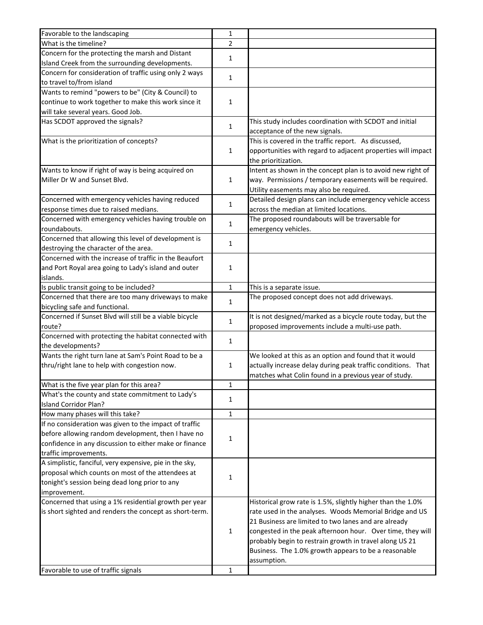| Favorable to the landscaping                            | 1              |                                                              |
|---------------------------------------------------------|----------------|--------------------------------------------------------------|
| What is the timeline?                                   | $\overline{2}$ |                                                              |
| Concern for the protecting the marsh and Distant        |                |                                                              |
| Island Creek from the surrounding developments.         | 1              |                                                              |
| Concern for consideration of traffic using only 2 ways  |                |                                                              |
| to travel to/from island                                | 1              |                                                              |
| Wants to remind "powers to be" (City & Council) to      |                |                                                              |
| continue to work together to make this work since it    | 1              |                                                              |
| will take several years. Good Job.                      |                |                                                              |
| Has SCDOT approved the signals?                         |                | This study includes coordination with SCDOT and initial      |
|                                                         | 1              | acceptance of the new signals.                               |
| What is the prioritization of concepts?                 | 1              | This is covered in the traffic report. As discussed,         |
|                                                         |                | opportunities with regard to adjacent properties will impact |
|                                                         |                | the prioritization.                                          |
| Wants to know if right of way is being acquired on      |                | Intent as shown in the concept plan is to avoid new right of |
| Miller Dr W and Sunset Blvd.                            | 1              | way. Permissions / temporary easements will be required.     |
|                                                         |                | Utility easements may also be required.                      |
| Concerned with emergency vehicles having reduced        |                | Detailed design plans can include emergency vehicle access   |
| response times due to raised medians.                   | 1              | across the median at limited locations.                      |
| Concerned with emergency vehicles having trouble on     |                | The proposed roundabouts will be traversable for             |
| roundabouts.                                            | 1              | emergency vehicles.                                          |
| Concerned that allowing this level of development is    |                |                                                              |
| destroying the character of the area.                   | 1              |                                                              |
| Concerned with the increase of traffic in the Beaufort  |                |                                                              |
| and Port Royal area going to Lady's island and outer    | 1              |                                                              |
| islands.                                                |                |                                                              |
| Is public transit going to be included?                 | 1              | This is a separate issue.                                    |
| Concerned that there are too many driveways to make     |                | The proposed concept does not add driveways.                 |
| bicycling safe and functional.                          | 1              |                                                              |
| Concerned if Sunset Blvd will still be a viable bicycle | 1              | It is not designed/marked as a bicycle route today, but the  |
| route?                                                  |                | proposed improvements include a multi-use path.              |
| Concerned with protecting the habitat connected with    | 1              |                                                              |
| the developments?                                       |                |                                                              |
| Wants the right turn lane at Sam's Point Road to be a   |                | We looked at this as an option and found that it would       |
| thru/right lane to help with congestion now.            | 1              | actually increase delay during peak traffic conditions. That |
|                                                         |                | matches what Colin found in a previous year of study.        |
| What is the five year plan for this area?               | 1              |                                                              |
| What's the county and state commitment to Lady's        | 1              |                                                              |
| <b>Island Corridor Plan?</b>                            |                |                                                              |
| How many phases will this take?                         | 1              |                                                              |
| If no consideration was given to the impact of traffic  |                |                                                              |
| before allowing random development, then I have no      | 1              |                                                              |
| confidence in any discussion to either make or finance  |                |                                                              |
| traffic improvements.                                   |                |                                                              |
| A simplistic, fanciful, very expensive, pie in the sky, |                |                                                              |
| proposal which counts on most of the attendees at       | 1              |                                                              |
| tonight's session being dead long prior to any          |                |                                                              |
| improvement.                                            |                |                                                              |
| Concerned that using a 1% residential growth per year   |                | Historical grow rate is 1.5%, slightly higher than the 1.0%  |
| is short sighted and renders the concept as short-term. |                | rate used in the analyses. Woods Memorial Bridge and US      |
|                                                         |                | 21 Business are limited to two lanes and are already         |
|                                                         | 1              | congested in the peak afternoon hour. Over time, they will   |
|                                                         |                | probably begin to restrain growth in travel along US 21      |
|                                                         |                | Business. The 1.0% growth appears to be a reasonable         |
|                                                         |                | assumption.                                                  |
| Favorable to use of traffic signals                     | 1              |                                                              |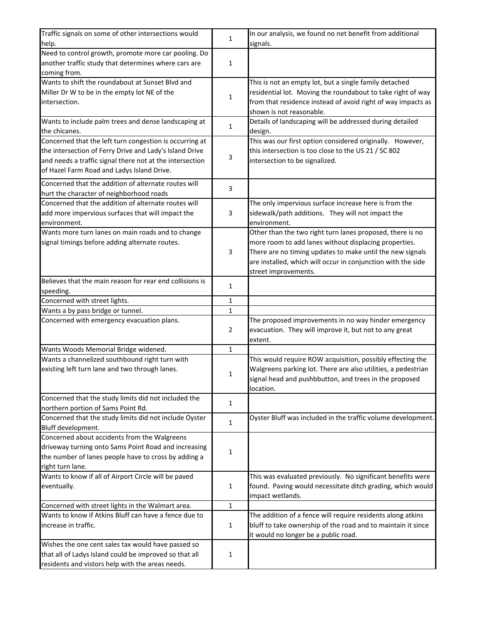| Traffic signals on some of other intersections would     |              | In our analysis, we found no net benefit from additional      |
|----------------------------------------------------------|--------------|---------------------------------------------------------------|
| help.                                                    | 1            | signals.                                                      |
| Need to control growth, promote more car pooling. Do     |              |                                                               |
| another traffic study that determines where cars are     | 1            |                                                               |
| coming from.                                             |              |                                                               |
| Wants to shift the roundabout at Sunset Blvd and         |              | This is not an empty lot, but a single family detached        |
| Miller Dr W to be in the empty lot NE of the             |              | residential lot. Moving the roundabout to take right of way   |
| intersection.                                            | 1            | from that residence instead of avoid right of way impacts as  |
|                                                          |              | shown is not reasonable.                                      |
| Wants to include palm trees and dense landscaping at     |              | Details of landscaping will be addressed during detailed      |
| the chicanes.                                            | 1            | design.                                                       |
| Concerned that the left turn congestion is occurring at  |              | This was our first option considered originally. However,     |
| the intersection of Ferry Drive and Lady's Island Drive  |              | this intersection is too close to the US 21 / SC 802          |
| and needs a traffic signal there not at the intersection | 3            | intersection to be signalized.                                |
| of Hazel Farm Road and Ladys Island Drive.               |              |                                                               |
|                                                          |              |                                                               |
| Concerned that the addition of alternate routes will     | 3            |                                                               |
| hurt the character of neighborhood roads                 |              |                                                               |
| Concerned that the addition of alternate routes will     |              | The only impervious surface increase here is from the         |
| add more impervious surfaces that will impact the        | 3            | sidewalk/path additions. They will not impact the             |
| environment.                                             |              | environment.                                                  |
| Wants more turn lanes on main roads and to change        |              | Other than the two right turn lanes proposed, there is no     |
| signal timings before adding alternate routes.           |              | more room to add lanes without displacing properties.         |
|                                                          | 3            | There are no timing updates to make until the new signals     |
|                                                          |              | are installed, which will occur in conjunction with the side  |
|                                                          |              | street improvements.                                          |
| Believes that the main reason for rear end collisions is | 1            |                                                               |
| speeding.                                                |              |                                                               |
| Concerned with street lights.                            | 1            |                                                               |
| Wants a by pass bridge or tunnel.                        | $\mathbf 1$  |                                                               |
| Concerned with emergency evacuation plans.               |              | The proposed improvements in no way hinder emergency          |
|                                                          | 2            | evacuation. They will improve it, but not to any great        |
|                                                          |              | extent.                                                       |
| Wants Woods Memorial Bridge widened.                     | $\mathbf 1$  |                                                               |
| Wants a channelized southbound right turn with           |              | This would require ROW acquisition, possibly effecting the    |
| existing left turn lane and two through lanes.           | 1            | Walgreens parking lot. There are also utilities, a pedestrian |
|                                                          |              | signal head and pushbbutton, and trees in the proposed        |
|                                                          |              | location.                                                     |
| Concerned that the study limits did not included the     | 1            |                                                               |
| northern portion of Sams Point Rd.                       |              |                                                               |
| Concerned that the study limits did not include Oyster   | 1            | Oyster Bluff was included in the traffic volume development.  |
| Bluff development.                                       |              |                                                               |
| Concerned about accidents from the Walgreens             |              |                                                               |
| driveway turning onto Sams Point Road and increasing     | 1            |                                                               |
| the number of lanes people have to cross by adding a     |              |                                                               |
| right turn lane.                                         |              |                                                               |
| Wants to know if all of Airport Circle will be paved     |              | This was evaluated previously. No significant benefits were   |
| eventually.                                              | 1            | found. Paving would necessitate ditch grading, which would    |
|                                                          |              | impact wetlands.                                              |
| Concerned with street lights in the Walmart area.        | $\mathbf{1}$ |                                                               |
| Wants to know if Atkins Bluff can have a fence due to    |              | The addition of a fence will require residents along atkins   |
| increase in traffic.                                     | 1            | bluff to take ownership of the road and to maintain it since  |
|                                                          |              | it would no longer be a public road.                          |
| Wishes the one cent sales tax would have passed so       |              |                                                               |
| that all of Ladys Island could be improved so that all   | 1            |                                                               |
| residents and vistors help with the areas needs.         |              |                                                               |